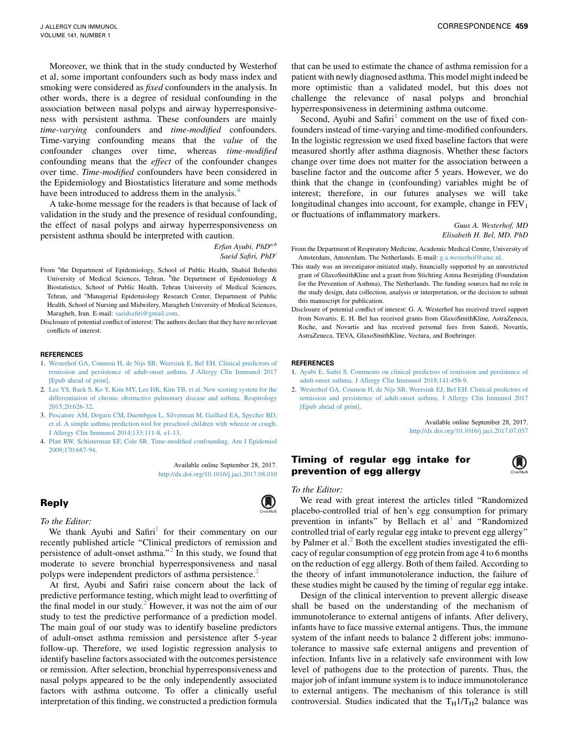Moreover, we think that in the study conducted by Westerhof et al, some important confounders such as body mass index and smoking were considered as *fixed* confounders in the analysis. In other words, there is a degree of residual confounding in the association between nasal polyps and airway hyperresponsiveness with persistent asthma. These confounders are mainly time-varying confounders and time-modified confounders. Time-varying confounding means that the value of the confounder changes over time, whereas time-modified confounding means that the effect of the confounder changes over time. Time-modified confounders have been considered in the Epidemiology and Biostatistics literature and some methods

have been introduced to address them in the analysis.<sup>4</sup> A take-home message for the readers is that because of lack of validation in the study and the presence of residual confounding, the effect of nasal polyps and airway hyperresponsiveness on persistent asthma should be interpreted with caution.

> Erfan Ayubi, PhD<sup>a,b</sup> Saeid Safiri,  $PhD<sup>c</sup>$

- From <sup>a</sup>the Department of Epidemiology, School of Public Health, Shahid Beheshti University of Medical Sciences, Tehran, <sup>b</sup>the Department of Epidemiology & Biostatistics, School of Public Health, Tehran University of Medical Sciences, Tehran, and <sup>c</sup>Managerial Epidemiology Research Center, Department of Public Health, School of Nursing and Midwifery, Maragheh University of Medical Sciences, Maragheh, Iran. E-mail: [saeidsafiri@gmail.com.](mailto:saeidsafiri@gmail.com)
- Disclosure of potential conflict of interest: The authors declare that they have no relevant conflicts of interest.

### **REFERENCES**

- 1. [Westerhof GA, Coumou H, de Nijs SB, Weersink E, Bel EH. Clinical predictors of](http://refhub.elsevier.com/S0091-6749(17)31361-1/sref1) [remission and persistence of adult-onset asthma. J Allergy Clin Immunol 2017](http://refhub.elsevier.com/S0091-6749(17)31361-1/sref1) [\[Epub ahead of print\]](http://refhub.elsevier.com/S0091-6749(17)31361-1/sref1).
- 2. [Lee YS, Baek S, Ko Y, Kim MY, Lee HK, Kim TB, et al. New scoring system for the](http://refhub.elsevier.com/S0091-6749(17)31361-1/sref2) [differentiation of chronic obstructive pulmonary disease and asthma. Respirology](http://refhub.elsevier.com/S0091-6749(17)31361-1/sref2) [2015;20:626-32](http://refhub.elsevier.com/S0091-6749(17)31361-1/sref2).
- 3. [Pescatore AM, Dogaru CM, Duembgen L, Silverman M, Gaillard EA, Spycher BD,](http://refhub.elsevier.com/S0091-6749(17)31584-1/sref3) [et al. A simple asthma prediction tool for preschool children with wheeze or cough.](http://refhub.elsevier.com/S0091-6749(17)31584-1/sref3) [J Allergy Clin Immunol 2014;133:111-8, e1-13.](http://refhub.elsevier.com/S0091-6749(17)31584-1/sref3)
- 4. [Platt RW, Schisterman EF, Cole SR. Time-modified confounding. Am J Epidemiol](http://refhub.elsevier.com/S0091-6749(17)31584-1/sref4) [2009;170:687-94.](http://refhub.elsevier.com/S0091-6749(17)31584-1/sref4)

Available online September 28, 2017. <http://dx.doi.org/10.1016/j.jaci.2017.08.010>

## Reply



We thank Ayubi and  $Safiri<sup>1</sup>$  for their commentary on our recently published article ''Clinical predictors of remission and persistence of adult-onset asthma."<sup>2</sup> In this study, we found that moderate to severe bronchial hyperresponsiveness and nasal polyps were independent predictors of asthma persistence.<sup>2</sup>

At first, Ayubi and Safiri raise concern about the lack of predictive performance testing, which might lead to overfitting of the final model in our study.<sup>2</sup> However, it was not the aim of our study to test the predictive performance of a prediction model. The main goal of our study was to identify baseline predictors of adult-onset asthma remission and persistence after 5-year follow-up. Therefore, we used logistic regression analysis to identify baseline factors associated with the outcomes persistence or remission. After selection, bronchial hyperresponsiveness and nasal polyps appeared to be the only independently associated factors with asthma outcome. To offer a clinically useful interpretation of this finding, we constructed a prediction formula

that can be used to estimate the chance of asthma remission for a patient with newly diagnosed asthma. This model might indeed be more optimistic than a validated model, but this does not challenge the relevance of nasal polyps and bronchial hyperresponsiveness in determining asthma outcome.

Second, Ayubi and Safiri<sup>1</sup> comment on the use of fixed confounders instead of time-varying and time-modified confounders. In the logistic regression we used fixed baseline factors that were measured shortly after asthma diagnosis. Whether these factors change over time does not matter for the association between a baseline factor and the outcome after 5 years. However, we do think that the change in (confounding) variables might be of interest; therefore, in our futures analyses we will take longitudinal changes into account, for example, change in  $FEV<sub>1</sub>$ or fluctuations of inflammatory markers.

> Guus A. Westerhof, MD Elisabeth H. Bel, MD, PhD

- From the Department of Respiratory Medicine, Academic Medical Centre, University of Amsterdam, Amsterdam, The Netherlands, E-mail: [g.a.westerhof@amc.nl.](mailto:g.a.westerhof@amc.nl)
- This study was an investigator-initiated study, financially supported by an unrestricted grant of GlaxoSmithKline and a grant from Stichting Astma Bestrijding (Foundation for the Prevention of Asthma), The Netherlands. The funding sources had no role in the study design, data collection, analysis or interpretation, or the decision to submit this manuscript for publication.
- Disclosure of potential conflict of interest: G. A. Westerhof has received travel support from Novartis. E. H. Bel has received grants from GlaxoSmithKline, AstraZeneca, Roche, and Novartis and has received personal fees from Sanofi, Novartis, AstraZeneca, TEVA, GlaxoSmithKline, Vectura, and Boehringer.

## REFERENCES

- 1. [Ayubi E, Safiri S. Comments on clinical predictors of remission and persistence of](http://refhub.elsevier.com/S0091-6749(17)31361-1/sref1) [adult-onset asthma. J Allergy Clin Immunol 2018;141:458-9](http://refhub.elsevier.com/S0091-6749(17)31361-1/sref1).
- 2. [Westerhof GA, Coumou H, de Nijs SB, Weersink EJ, Bel EH. Clinical predictors of](http://refhub.elsevier.com/S0091-6749(17)31361-1/sref2) [remission and persistence of adult-onset asthma. J Allergy Clin Immunol 2017](http://refhub.elsevier.com/S0091-6749(17)31361-1/sref2) [\[Epub ahead of print\]](http://refhub.elsevier.com/S0091-6749(17)31361-1/sref2).

Available online September 28, 2017. <http://dx.doi.org/10.1016/j.jaci.2017.07.037>

# $T<sub>1</sub>$  is a set of  $T<sub>2</sub>$  intervalse for  $T<sub>3</sub>$  intervalse for  $T<sub>4</sub>$ prevention of egg allergy



 $\left(\color{red}I\!\right)$ 

We read with great interest the articles titled ''Randomized placebo-controlled trial of hen's egg consumption for primary prevention in infants" by Bellach et  $al<sup>1</sup>$  $al<sup>1</sup>$  $al<sup>1</sup>$  and "Randomized controlled trial of early regular egg intake to prevent egg allergy'' by Palmer et al. $<sup>2</sup>$  Both the excellent studies investigated the effi-</sup> cacy of regular consumption of egg protein from age 4 to 6 months on the reduction of egg allergy. Both of them failed. According to the theory of infant immunotolerance induction, the failure of these studies might be caused by the timing of regular egg intake.

Design of the clinical intervention to prevent allergic disease shall be based on the understanding of the mechanism of immunotolerance to external antigens of infants. After delivery, infants have to face massive external antigens. Thus, the immune system of the infant needs to balance 2 different jobs: immunotolerance to massive safe external antigens and prevention of infection. Infants live in a relatively safe environment with low level of pathogens due to the protection of parents. Thus, the major job of infant immune system is to induce immunotolerance to external antigens. The mechanism of this tolerance is still controversial. Studies indicated that the  $T_H1/T_H2$  balance was